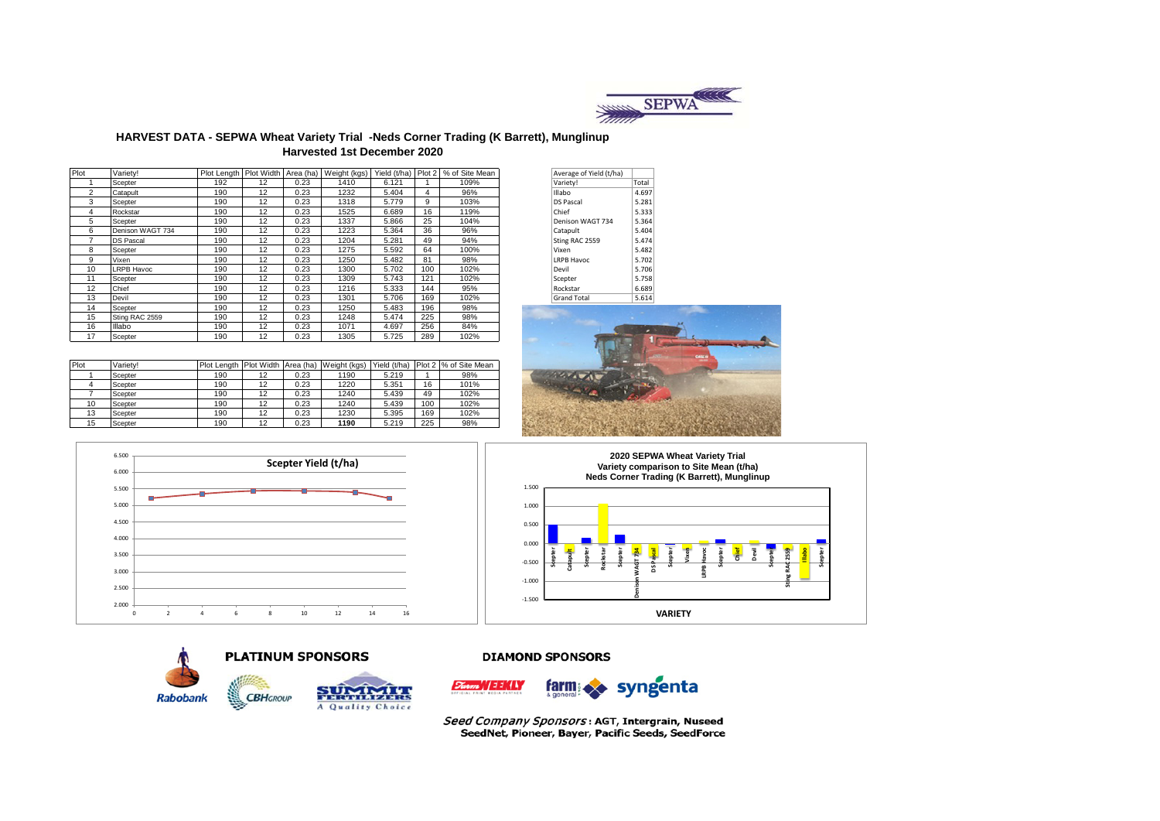

### **HARVEST DATA - SEPWA Wheat Variety Trial -Neds Corner Trading (K Barrett), Munglinup Harvested 1st December 2020**

| Plot | Variety!         | Plot Length Plot Width Area (ha) |    |      | Weight (kgs) |       |     | Yield (t/ha) Plot 2   % of Site Mean | Average of Yield (t/ha) |       |
|------|------------------|----------------------------------|----|------|--------------|-------|-----|--------------------------------------|-------------------------|-------|
|      | Scepter          | 192                              | 12 | 0.23 | 1410         | 6.121 |     | 109%                                 | Variety!                | Total |
| 2    | Catapult         | 190                              | 12 | 0.23 | 1232         | 5.404 | 4   | 96%                                  | <b>Illabo</b>           | 4.697 |
| 3    | Scepter          | 190                              | 12 | 0.23 | 1318         | 5.779 | 9   | 103%                                 | <b>DS Pascal</b>        | 5.281 |
| 4    | Rockstar         | 190                              | 12 | 0.23 | 1525         | 6.689 | 16  | 119%                                 | Chief                   | 5.333 |
| 5    | Scepter          | 190                              | 12 | 0.23 | 1337         | 5.866 | 25  | 104%                                 | Denison WAGT 734        | 5.364 |
| 6    | Denison WAGT 734 | 190                              | 12 | 0.23 | 1223         | 5.364 | 36  | 96%                                  | Catapult                | 5.404 |
|      | <b>DS Pascal</b> | 190                              | 12 | 0.23 | 1204         | 5.281 | 49  | 94%                                  | Sting RAC 2559          | 5.474 |
| 8    | Scepter          | 190                              | 12 | 0.23 | 1275         | 5.592 | 64  | 100%                                 | Vixen                   | 5.482 |
| 9    | Vixen            | 190                              | 12 | 0.23 | 1250         | 5.482 | 81  | 98%                                  | <b>LRPB Havoc</b>       | 5.702 |
| 10   | LRPB Havoc       | 190                              | 12 | 0.23 | 1300         | 5.702 | 100 | 102%                                 | Devil                   | 5.706 |
| 11   | Scepter          | 190                              | 12 | 0.23 | 1309         | 5.743 | 121 | 102%                                 | Scepter                 | 5.758 |
| 12   | Chief            | 190                              | 12 | 0.23 | 1216         | 5.333 | 144 | 95%                                  | Rockstar                | 6.689 |
| 13   | Devil            | 190                              | 12 | 0.23 | 1301         | 5.706 | 169 | 102%                                 | <b>Grand Total</b>      | 5.614 |
| 14   | Scepter          | 190                              | 12 | 0.23 | 1250         | 5.483 | 196 | 98%                                  |                         |       |
| 15   | Sting RAC 2559   | 190                              | 12 | 0.23 | 1248         | 5.474 | 225 | 98%                                  |                         |       |
| 16   | Illabo           | 190                              | 12 | 0.23 | 1071         | 4.697 | 256 | 84%                                  |                         |       |
| 17   | Scepter          | 190                              | 12 | 0.23 | 1305         | 5.725 | 289 | 102%                                 |                         |       |

Plot Variety! Plot Length Plot Width Area (ha) Weight (kgs) Yield (t/ha) Plot 2 % of Site Mean 1 Scepter 190 | 12 | 0.23 | 1190 | 5.219 | 1 | 98% 4 Scepter 190 12 0.23 1220 5.351 16 101% 7 Scepter 190 12 0.23 1240 5.439 49 102% 10 Scepter 190 12 0.23 1240 5.439 100 102% 13 Scepter | 190 | 12 | 0.23 | 1230 | 5.395 | 169 | 102% 15 Scepter 190 12 0.23 **1190** 5.219 225 98%

| Average of Yield (t/ha) |       |
|-------------------------|-------|
| Variety!                | Total |
| Illabo                  | 4.697 |
| <b>DS Pascal</b>        | 5.281 |
| Chief                   | 5.333 |
| Denison WAGT 734        | 5.364 |
| Catapult                | 5.404 |
| Sting RAC 2559          | 5.474 |
| Vixen                   | 5.482 |
| <b>LRPB Havoc</b>       | 5.702 |
| Devil                   | 5.706 |
| Scepter                 | 5.758 |
| Rockstar                | 6.689 |
| <b>Grand Total</b>      | 5.614 |















Seed Company Sponsors: AGT, Intergrain, Nuseed SeedNet, Pioneer, Bayer, Pacific Seeds, SeedForce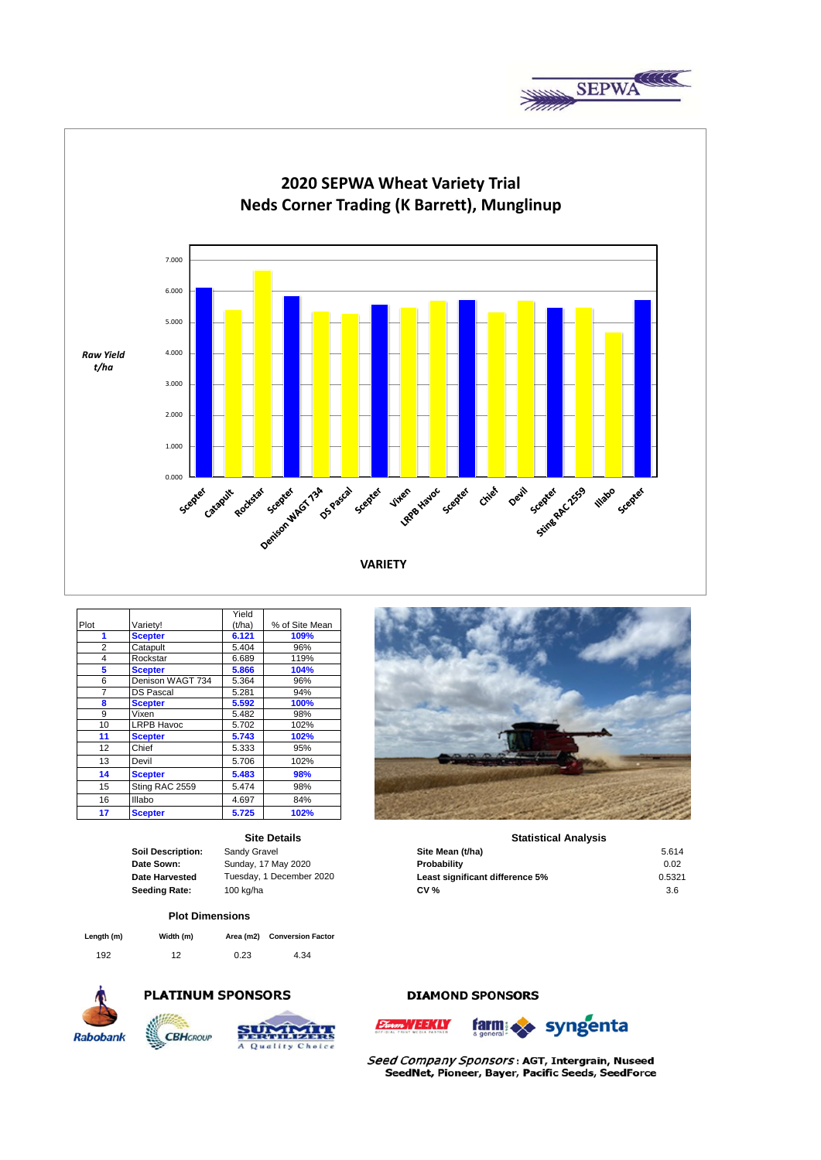



|      |                   | Yield  |                |
|------|-------------------|--------|----------------|
| Plot | Variety!          | (t/ha) | % of Site Mean |
| 1    | <b>Scepter</b>    | 6.121  | 109%           |
| 2    | Catapult          | 5.404  | 96%            |
| 4    | Rockstar          | 6.689  | 119%           |
| 5    | <b>Scepter</b>    | 5.866  | 104%           |
| 6    | Denison WAGT 734  | 5.364  | 96%            |
| 7    | <b>DS Pascal</b>  | 5.281  | 94%            |
| 8    | <b>Scepter</b>    | 5.592  | 100%           |
| 9    | Vixen             | 5.482  | 98%            |
| 10   | <b>LRPB Havoc</b> | 5.702  | 102%           |
| 11   | <b>Scepter</b>    | 5.743  | 102%           |
| 12   | Chief             | 5.333  | 95%            |
| 13   | Devil             | 5.706  | 102%           |
| 14   | <b>Scepter</b>    | 5.483  | 98%            |
| 15   | Sting RAC 2559    | 5.474  | 98%            |
| 16   | Illabo            | 4.697  | 84%            |
| 17   | <b>Scepter</b>    | 5.725  | 102%           |

#### **Site Details**

#### **Plot Dimensions**

| Length (m) | Width (m) |      | Area (m2) Conversion Factor |
|------------|-----------|------|-----------------------------|
| 192        | 12        | 0.23 | 4.34                        |







## **Statistical Analysis**

| Soil Description:     | Sandy Gravel             | Site Mean (t/ha)                | 5.614  |
|-----------------------|--------------------------|---------------------------------|--------|
| Date Sown:            | Sunday, 17 May 2020      | Probability                     | 0.02   |
| <b>Date Harvested</b> | Tuesdav. 1 December 2020 | Least significant difference 5% | 0.5321 |
| Seeding Rate:         | 100 kg/ha                | <b>CV %</b>                     | 3.6    |

# **DIAMOND SPONSORS**





Seed Company Sponsors: AGT, Intergrain, Nuseed SeedNet, Pioneer, Bayer, Pacific Seeds, SeedForce